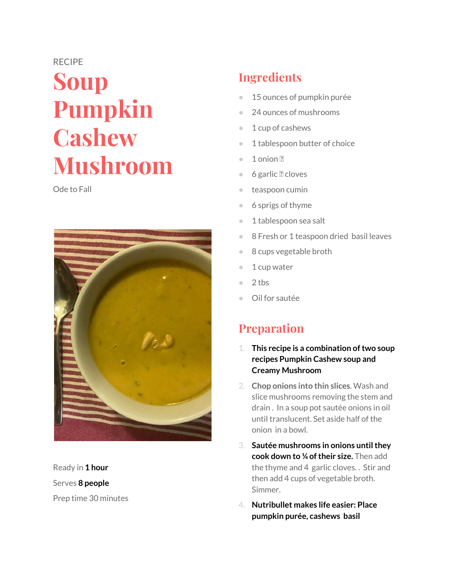#### RECIPE

# **Soup Pumpkin Cashew Mushroom**

Ode to Fall



Ready in **1 hour**  Serves **8 people** Prep time 30 minutes

# **Ingredients**

- 15 ounces of pumpkin purée
- 24 ounces of mushrooms
- 1 cup of cashews
- 1 tablespoon butter of choice
- 1 onion ?
- 6 garlic ? cloves
- teaspoon cumin
- 6 sprigs of thyme
- 1 tablespoon sea salt
- 8 Fresh or 1 teaspoon dried basil leaves
- 8 cups vegetable broth
- 1 cup water
- $2$  tbs
- Oil for sautée

## **Preparation**

- 1. **This recipe is a combination of two soup recipes Pumpkin Cashew soup and Creamy Mushroom**
- 2. **Chop onions into thin slices**. Wash and slice mushrooms removing the stem and drain . In a soup pot sautée onions in oil until translucent. Set aside half of the onion in a bowl.
- 3. **Sautée mushrooms in onions until they cook down to ¼ of their size.** Then add the thyme and 4 garlic cloves. . Stir and then add 4 cups of vegetable broth. Simmer.
- 4. **Nutribullet makes life easier: Place pumpkin purée, cashews basil**